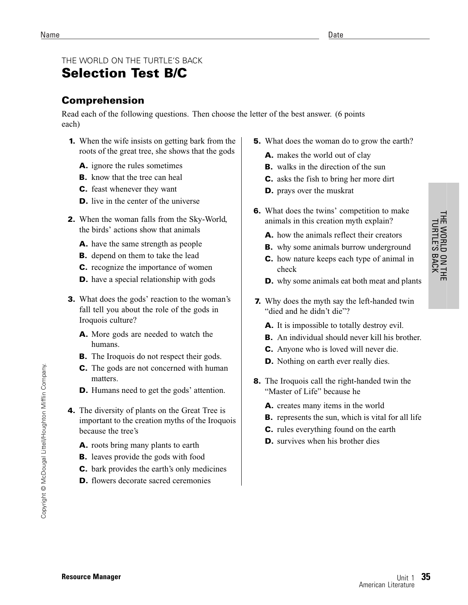## THE WORLD ON THE TURTLE'S BACK

# **Selection Test B/C**

### **Comprehension**

Read each of the following questions. Then choose the letter of the best answer. (6 points each)

- **1.** When the wife insists on getting bark from the roots of the great tree, she shows that the gods
	- **A.** ignore the rules sometimes
	- **B.** know that the tree can heal
	- **C.** feast whenever they want
	- **D.** live in the center of the universe
- **2.** When the woman falls from the Sky-World, the birds' actions show that animals
	- **A.** have the same strength as people
	- **B.** depend on them to take the lead
	- **C.** recognize the importance of women
	- **D.** have a special relationship with gods
- **3.** What does the gods' reaction to the woman's fall tell you about the role of the gods in Iroquois culture?
	- **A.** More gods are needed to watch the humans.
	- **B.** The Iroquois do not respect their gods.
	- **C.** The gods are not concerned with human matters.
	- **D.** Humans need to get the gods' attention.
- **4.** The diversity of plants on the Great Tree is important to the creation myths of the Iroquois because the tree's
	- **A.** roots bring many plants to earth
	- **B.** leaves provide the gods with food
	- **C.** bark provides the earth's only medicines
	- **D.** flowers decorate sacred ceremonies
- **5.** What does the woman do to grow the earth?
	- **A.** makes the world out of clay
	- **B.** walks in the direction of the sun
	- **C.** asks the fish to bring her more dirt
	- **D.** prays over the muskrat
- **6.** What does the twins' competition to make animals in this creation myth explain?
	- **A.** how the animals reflect their creators
	- **B.** why some animals burrow underground
	- **C.** how nature keeps each type of animal in check
	- **D.** why some animals eat both meat and plants
- **7.** Why does the myth say the left-handed twin "died and he didn't die"?
	- **A.** It is impossible to totally destroy evil.
	- **B.** An individual should never kill his brother.
	- **C.** Anyone who is loved will never die.
	- **D.** Nothing on earth ever really dies.
- **8.** The Iroquois call the right-handed twin the "Master of Life" because he
	- **A.** creates many items in the world
	- **B.** represents the sun, which is vital for all life
	- **C.** rules everything found on the earth
	- **D.** survives when his brother dies

Copyright © McDougal Littell/Houghton Mifflin Company.

Copyright © McDougal Littell/Houghton Mifflin Company.